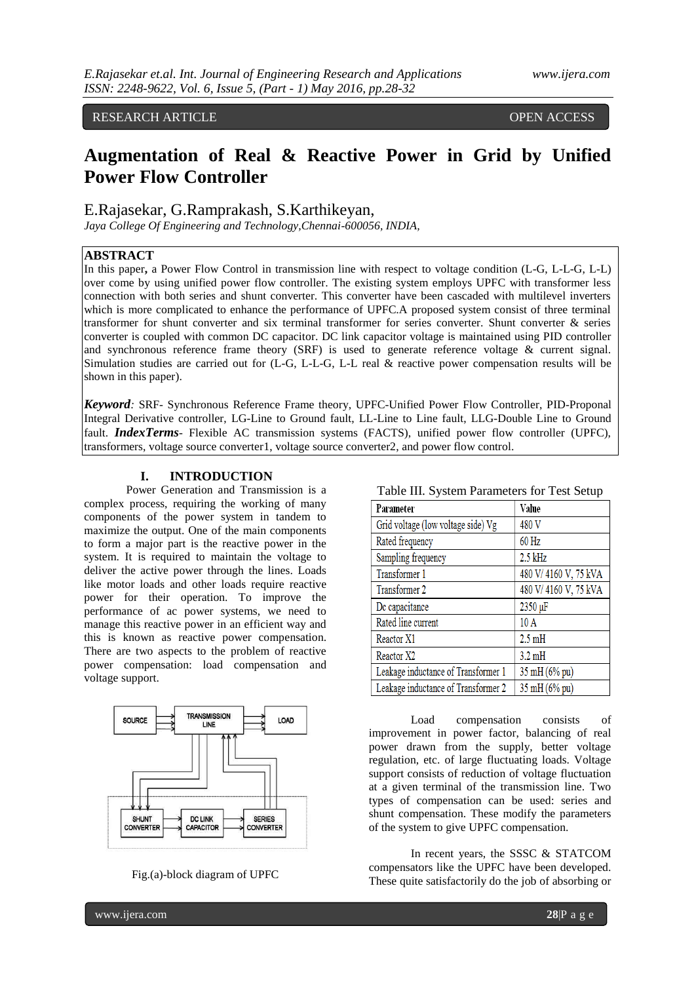#### RESEARCH ARTICLE OPEN ACCESS

# **Augmentation of Real & Reactive Power in Grid by Unified Power Flow Controller**

E.Rajasekar, G.Ramprakash, S.Karthikeyan,

*Jaya College Of Engineering and Technology,Chennai-600056, INDIA,*

#### **ABSTRACT**

In this paper**,** a Power Flow Control in transmission line with respect to voltage condition (L-G, L-L-G, L-L) over come by using unified power flow controller. The existing system employs UPFC with transformer less connection with both series and shunt converter. This converter have been cascaded with multilevel inverters which is more complicated to enhance the performance of UPFC.A proposed system consist of three terminal transformer for shunt converter and six terminal transformer for series converter. Shunt converter & series converter is coupled with common DC capacitor. DC link capacitor voltage is maintained using PID controller and synchronous reference frame theory (SRF) is used to generate reference voltage & current signal. Simulation studies are carried out for (L-G, L-L-G, L-L real & reactive power compensation results will be shown in this paper).

*Keyword:* SRF- Synchronous Reference Frame theory, UPFC-Unified Power Flow Controller, PID-Proponal Integral Derivative controller, LG-Line to Ground fault, LL-Line to Line fault, LLG-Double Line to Ground fault. *IndexTerms*- Flexible AC transmission systems (FACTS), unified power flow controller (UPFC), transformers, voltage source converter1, voltage source converter2, and power flow control.

#### **I. INTRODUCTION**

Power Generation and Transmission is a complex process, requiring the working of many components of the power system in tandem to maximize the output. One of the main components to form a major part is the reactive power in the system. It is required to maintain the voltage to deliver the active power through the lines. Loads like motor loads and other loads require reactive power for their operation. To improve the performance of ac power systems, we need to manage this reactive power in an efficient way and this is known as reactive power compensation. There are two aspects to the problem of reactive power compensation: load compensation and voltage support.



Fig.(a)-block diagram of UPFC

|  |  |  | Table III. System Parameters for Test Setup |  |  |
|--|--|--|---------------------------------------------|--|--|
|--|--|--|---------------------------------------------|--|--|

| I avie III. System Falameters for Test Setup |                      |  |  |  |
|----------------------------------------------|----------------------|--|--|--|
| Parameter                                    | Value                |  |  |  |
| Grid voltage (low voltage side) Vg           | 480 V                |  |  |  |
| Rated frequency                              | $60$ Hz              |  |  |  |
| Sampling frequency                           | $2.5$ kHz            |  |  |  |
| Transformer 1                                | 480 V/4160 V, 75 kVA |  |  |  |
| Transformer 2                                | 480 V/4160 V, 75 kVA |  |  |  |
| De capacitance                               | 2350 µF              |  |  |  |
| Rated line current                           | 10A                  |  |  |  |
| Reactor X1                                   | $2.5$ mH             |  |  |  |
| Reactor X2                                   | $3.2 \text{ mH}$     |  |  |  |
| Leakage inductance of Transformer 1          | 35 mH (6% pu)        |  |  |  |
| Leakage inductance of Transformer 2          | 35 mH (6% pu)        |  |  |  |

Load compensation consists of improvement in power factor, balancing of real power drawn from the supply, better voltage regulation, etc. of large fluctuating loads. Voltage support consists of reduction of voltage fluctuation at a given terminal of the transmission line. Two types of compensation can be used: series and shunt compensation. These modify the parameters of the system to give UPFC compensation.

In recent years, the SSSC & STATCOM compensators like the UPFC have been developed. These quite satisfactorily do the job of absorbing or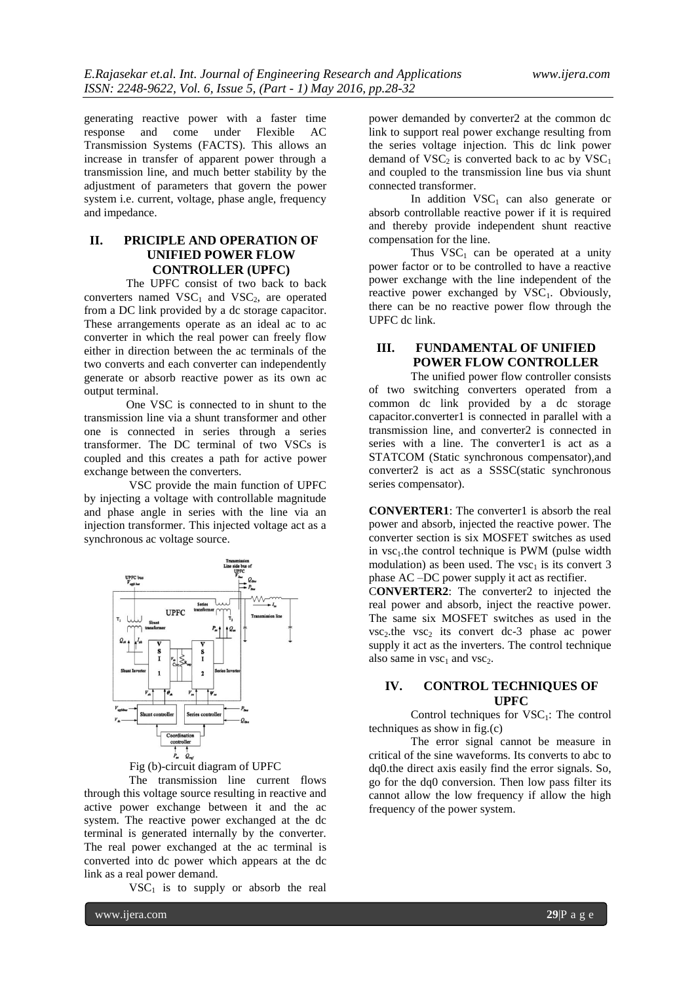generating reactive power with a faster time response and come under Flexible AC Transmission Systems (FACTS). This allows an increase in transfer of apparent power through a transmission line, and much better stability by the adjustment of parameters that govern the power system i.e. current, voltage, phase angle, frequency and impedance.

# **II. PRICIPLE AND OPERATION OF UNIFIED POWER FLOW CONTROLLER (UPFC)**

The UPFC consist of two back to back converters named  $VSC<sub>1</sub>$  and  $VSC<sub>2</sub>$ , are operated from a DC link provided by a dc storage capacitor. These arrangements operate as an ideal ac to ac converter in which the real power can freely flow either in direction between the ac terminals of the two converts and each converter can independently generate or absorb reactive power as its own ac output terminal.

One VSC is connected to in shunt to the transmission line via a shunt transformer and other one is connected in series through a series transformer. The DC terminal of two VSCs is coupled and this creates a path for active power exchange between the converters.

VSC provide the main function of UPFC by injecting a voltage with controllable magnitude and phase angle in series with the line via an injection transformer. This injected voltage act as a synchronous ac voltage source.



Fig (b)-circuit diagram of UPFC

The transmission line current flows through this voltage source resulting in reactive and active power exchange between it and the ac system. The reactive power exchanged at the dc terminal is generated internally by the converter. The real power exchanged at the ac terminal is converted into dc power which appears at the dc link as a real power demand.

 $VSC<sub>1</sub>$  is to supply or absorb the real

power demanded by converter2 at the common dc link to support real power exchange resulting from the series voltage injection. This dc link power demand of  $VSC<sub>2</sub>$  is converted back to ac by  $VSC<sub>1</sub>$ and coupled to the transmission line bus via shunt connected transformer.

In addition  $VSC_1$  can also generate or absorb controllable reactive power if it is required and thereby provide independent shunt reactive compensation for the line.

Thus  $VSC_1$  can be operated at a unity power factor or to be controlled to have a reactive power exchange with the line independent of the reactive power exchanged by  $VSC<sub>1</sub>$ . Obviously, there can be no reactive power flow through the UPFC dc link.

# **III. FUNDAMENTAL OF UNIFIED POWER FLOW CONTROLLER**

The unified power flow controller consists of two switching converters operated from a common dc link provided by a dc storage capacitor.converter1 is connected in parallel with a transmission line, and converter2 is connected in series with a line. The converter1 is act as a STATCOM (Static synchronous compensator),and converter2 is act as a SSSC(static synchronous series compensator).

**CONVERTER1**: The converter1 is absorb the real power and absorb, injected the reactive power. The converter section is six MOSFET switches as used in  $\text{vsc}_1$ , the control technique is PWM (pulse width modulation) as been used. The  $\text{vsc}_1$  is its convert 3 phase AC –DC power supply it act as rectifier.

C**ONVERTER2**: The converter2 to injected the real power and absorb, inject the reactive power. The same six MOSFET switches as used in the  $\text{vsc}_2$ .the  $\text{vsc}_2$  its convert dc-3 phase ac power supply it act as the inverters. The control technique also same in  $\text{vsc}_1$  and  $\text{vsc}_2$ .

#### **IV. CONTROL TECHNIQUES OF UPFC**

Control techniques for  $VSC<sub>1</sub>$ : The control techniques as show in fig.(c)

The error signal cannot be measure in critical of the sine waveforms. Its converts to abc to dq0.the direct axis easily find the error signals. So, go for the dq0 conversion. Then low pass filter its cannot allow the low frequency if allow the high frequency of the power system.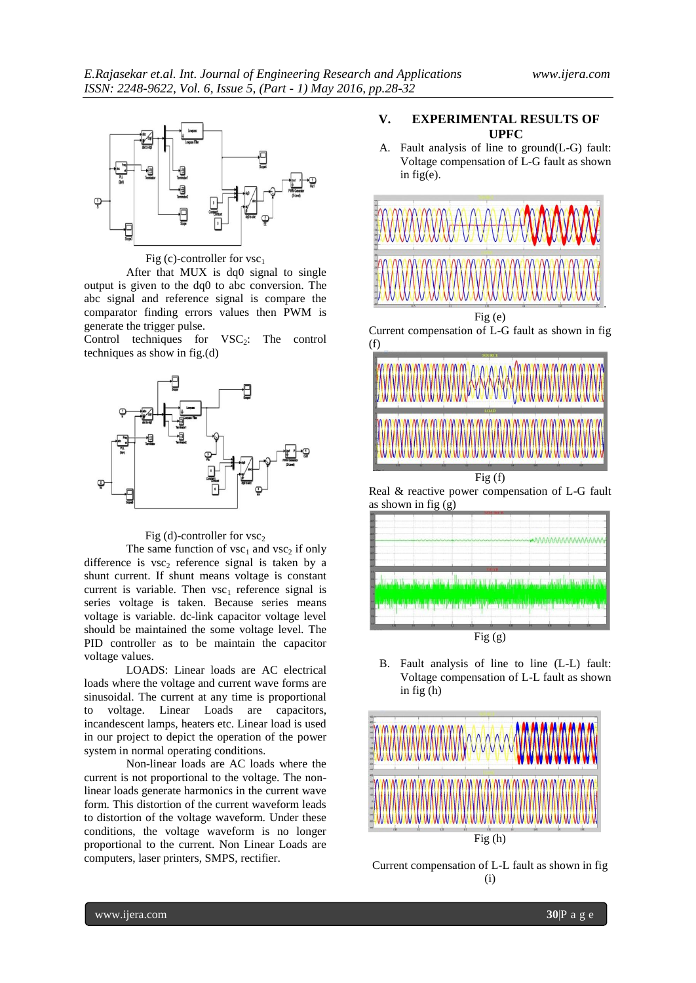

Fig (c)-controller for  $vsc<sub>1</sub>$ 

After that MUX is dq0 signal to single output is given to the dq0 to abc conversion. The abc signal and reference signal is compare the comparator finding errors values then PWM is generate the trigger pulse.

Control techniques for  $VSC_2$ : The control techniques as show in fig.(d)



#### Fig (d)-controller for  $\text{vsc}_2$

The same function of  $\text{vsc}_1$  and  $\text{vsc}_2$  if only difference is  $vsc_2$  reference signal is taken by a shunt current. If shunt means voltage is constant current is variable. Then  $vsc_1$  reference signal is series voltage is taken. Because series means voltage is variable. dc-link capacitor voltage level should be maintained the some voltage level. The PID controller as to be maintain the capacitor voltage values.

LOADS: Linear loads are AC electrical loads where the voltage and current wave forms are sinusoidal. The current at any time is proportional to voltage. Linear Loads are capacitors, incandescent lamps, heaters etc. Linear load is used in our project to depict the operation of the power system in normal operating conditions.

Non-linear loads are AC loads where the current is not proportional to the voltage. The nonlinear loads generate harmonics in the current wave form. This distortion of the current waveform leads to distortion of the voltage waveform. Under these conditions, the voltage waveform is no longer proportional to the current. Non Linear Loads are computers, laser printers, SMPS, rectifier.

#### **V. EXPERIMENTAL RESULTS OF UPFC**

A. Fault analysis of line to ground(L-G) fault: Voltage compensation of L-G fault as shown in fig(e).



 $Fig (g)$ 

B. Fault analysis of line to line (L-L) fault: Voltage compensation of L-L fault as shown in fig (h)



Current compensation of L-L fault as shown in fig (i)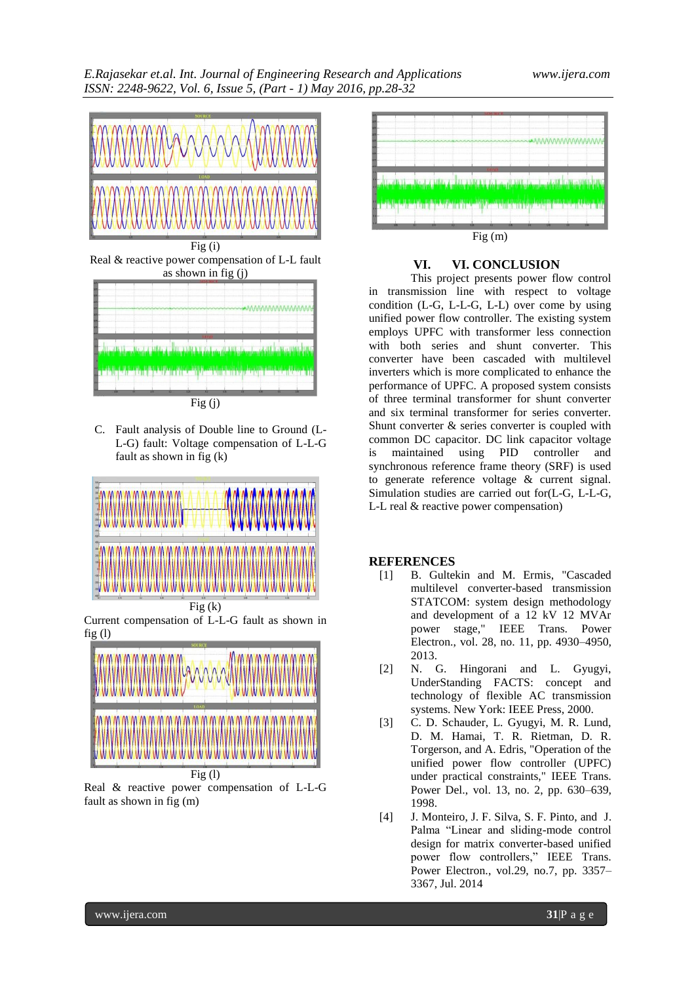

Fig (i) Real & reactive power compensation of L-L fault as shown in fig (j)



C. Fault analysis of Double line to Ground (L-L-G) fault: Voltage compensation of L-L-G fault as shown in fig (k)



Current compensation of L-L-G fault as shown in fig $(1)$ 



 $Fig (1)$ Real & reactive power compensation of L-L-G fault as shown in fig (m)



# **VI. VI. CONCLUSION**

This project presents power flow control in transmission line with respect to voltage condition (L-G, L-L-G, L-L) over come by using unified power flow controller. The existing system employs UPFC with transformer less connection with both series and shunt converter. This converter have been cascaded with multilevel inverters which is more complicated to enhance the performance of UPFC. A proposed system consists of three terminal transformer for shunt converter and six terminal transformer for series converter. Shunt converter & series converter is coupled with common DC capacitor. DC link capacitor voltage is maintained using PID controller and synchronous reference frame theory (SRF) is used to generate reference voltage & current signal. Simulation studies are carried out for(L-G, L-L-G, L-L real & reactive power compensation)

## **REFERENCES**

- [1] B. Gultekin and M. Ermis, "Cascaded multilevel converter-based transmission STATCOM: system design methodology and development of a 12 kV 12 MVAr power stage," IEEE Trans. Power Electron., vol. 28, no. 11, pp. 4930–4950, 2013.
- [2] N. G. Hingorani and L. Gyugyi, UnderStanding FACTS: concept and technology of flexible AC transmission systems. New York: IEEE Press, 2000.
- [3] C. D. Schauder, L. Gyugyi, M. R. Lund, D. M. Hamai, T. R. Rietman, D. R. Torgerson, and A. Edris, "Operation of the unified power flow controller (UPFC) under practical constraints," IEEE Trans. Power Del., vol. 13, no. 2, pp. 630–639, 1998.
- [4] J. Monteiro, J. F. Silva, S. F. Pinto, and J. Palma "Linear and sliding-mode control design for matrix converter-based unified power flow controllers," IEEE Trans. Power Electron., vol.29, no.7, pp. 3357– 3367, Jul. 2014